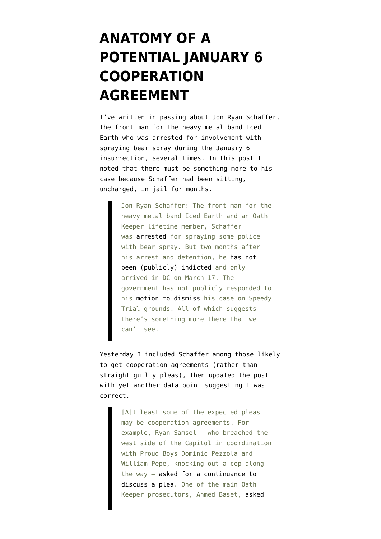## **[ANATOMY OF A](https://www.emptywheel.net/2021/04/06/anatomy-of-a-secret-january-6-potential-cooperation-agreement/) [POTENTIAL JANUARY 6](https://www.emptywheel.net/2021/04/06/anatomy-of-a-secret-january-6-potential-cooperation-agreement/) [COOPERATION](https://www.emptywheel.net/2021/04/06/anatomy-of-a-secret-january-6-potential-cooperation-agreement/) [AGREEMENT](https://www.emptywheel.net/2021/04/06/anatomy-of-a-secret-january-6-potential-cooperation-agreement/)**

I've written in passing about Jon Ryan Schaffer, the front man for the heavy metal band Iced Earth who was [arrested for involvement with](https://www.courtlistener.com/recap/gov.uscourts.dcd.226186/gov.uscourts.dcd.226186.1.1_1.pdf) [spraying bear spray during the January 6](https://www.courtlistener.com/recap/gov.uscourts.dcd.226186/gov.uscourts.dcd.226186.1.1_1.pdf) [insurrection](https://www.courtlistener.com/recap/gov.uscourts.dcd.226186/gov.uscourts.dcd.226186.1.1_1.pdf), several times. In [this post I](https://www.emptywheel.net/2021/03/19/the-state-of-the-five-now-intersecting-january-6-militia-conspiracies/) [noted](https://www.emptywheel.net/2021/03/19/the-state-of-the-five-now-intersecting-january-6-militia-conspiracies/) that there must be something more to his case because Schaffer had been sitting, uncharged, in jail for months.

> Jon Ryan Schaffer: The front man for the heavy metal band Iced Earth and an Oath Keeper lifetime member, Schaffer was [arrested](https://www.courtlistener.com/recap/gov.uscourts.dcd.226186/gov.uscourts.dcd.226186.1.1_1.pdf) for spraying some police with bear spray. But two months after his arrest and detention, he [has not](https://www.courtlistener.com/docket/29115301/united-states-v-schaffer/) [been \(publicly\) indicted](https://www.courtlistener.com/docket/29115301/united-states-v-schaffer/) and only arrived in DC on March 17. The government has not publicly responded to his [motion to dismiss](https://www.courtlistener.com/recap/gov.uscourts.dcd.226186/gov.uscourts.dcd.226186.4.0.pdf) his case on Speedy Trial grounds. All of which suggests there's something more there that we can't see.

[Yesterday I included](https://www.emptywheel.net/2021/04/04/politico-claims-it-embarrasses-joe-biden-that-non-violent-civil-disobedience-merits-little-or-no-jail-time/) Schaffer among those likely to get cooperation agreements (rather than straight guilty pleas), then updated the post with yet another data point suggesting I was correct.

> [A]t least some of the expected pleas may be cooperation agreements. For example, Ryan Samsel — who breached the west side of the Capitol in coordination with Proud Boys Dominic Pezzola and William Pepe, knocking out a cop along the way — [asked for a continuance to](https://www.courtlistener.com/recap/gov.uscourts.dcd.226870/gov.uscourts.dcd.226870.5.0_1.pdf) [discuss a plea.](https://www.courtlistener.com/recap/gov.uscourts.dcd.226870/gov.uscourts.dcd.226870.5.0_1.pdf) One of the main Oath Keeper prosecutors, Ahmed Baset, [asked](https://www.courtlistener.com/recap/gov.uscourts.dcd.226186/gov.uscourts.dcd.226186.16.0.pdf)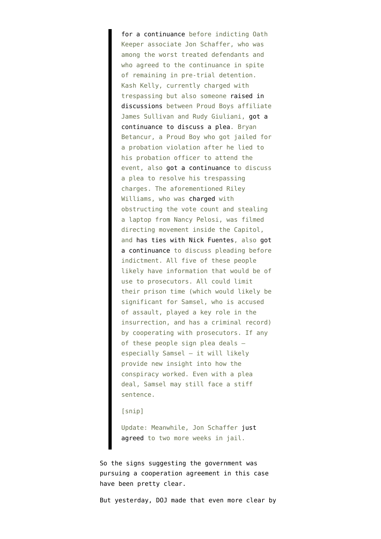[for a continuance](https://www.courtlistener.com/recap/gov.uscourts.dcd.226186/gov.uscourts.dcd.226186.16.0.pdf) before indicting Oath Keeper associate Jon Schaffer, who was among the worst treated defendants and who agreed to the continuance in spite of remaining in pre-trial detention. Kash Kelly, currently charged with trespassing but also someone [raised in](https://www.emptywheel.net/2021/01/15/rudy-giuliani-and-jack-posobiec-claim-a-false-flag/) [discussions](https://www.emptywheel.net/2021/01/15/rudy-giuliani-and-jack-posobiec-claim-a-false-flag/) between Proud Boys affiliate James Sullivan and Rudy Giuliani, [got a](https://www.courtlistener.com/recap/gov.uscourts.dcd.226056/gov.uscourts.dcd.226056.5.0.pdf) [continuance to discuss a plea.](https://www.courtlistener.com/recap/gov.uscourts.dcd.226056/gov.uscourts.dcd.226056.5.0.pdf) Bryan Betancur, a Proud Boy who got jailed for a probation violation after he lied to his probation officer to attend the event, also [got a continuance](https://www.courtlistener.com/recap/gov.uscourts.dcd.226838/gov.uscourts.dcd.226838.8.0.pdf) to discuss a plea to resolve his trespassing charges. The aforementioned Riley Williams, who was [charged](https://www.courtlistener.com/recap/gov.uscourts.dcd.226160/gov.uscourts.dcd.226160.4.0_2.pdf) with obstructing the vote count and stealing a laptop from Nancy Pelosi, was filmed directing movement inside the Capitol, and [has ties with Nick Fuentes,](https://www.dailykos.com/stories/2021/2/26/2018288/-White-supremacists-at-Capitol-siege-Woman-linked-to-Pelosi-s-laptop-theft-just-the-latest-example) also [got](https://www.courtlistener.com/recap/gov.uscourts.dcd.226160/gov.uscourts.dcd.226160.12.0.pdf) [a continuance](https://www.courtlistener.com/recap/gov.uscourts.dcd.226160/gov.uscourts.dcd.226160.12.0.pdf) to discuss pleading before indictment. All five of these people likely have information that would be of use to prosecutors. All could limit their prison time (which would likely be significant for Samsel, who is accused of assault, played a key role in the insurrection, and has a criminal record) by cooperating with prosecutors. If any of these people sign plea deals especially Samsel — it will likely provide new insight into how the conspiracy worked. Even with a plea deal, Samsel may still face a stiff sentence.

[snip]

Update: Meanwhile, Jon Schaffer [just](https://www.courtlistener.com/recap/gov.uscourts.dcd.226186/gov.uscourts.dcd.226186.20.0.pdf) [agreed](https://www.courtlistener.com/recap/gov.uscourts.dcd.226186/gov.uscourts.dcd.226186.20.0.pdf) to two more weeks in jail.

So the signs suggesting the government was pursuing a cooperation agreement in this case have been pretty clear.

But yesterday, DOJ made that even more clear by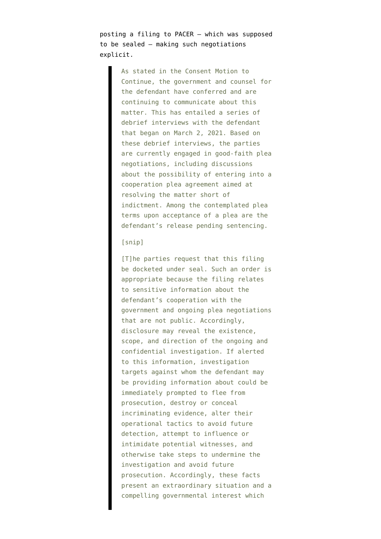[posting a filing to PACER](https://www.courtlistener.com/recap/gov.uscourts.dcd.226186/gov.uscourts.dcd.226186.21.0_1.pdf) — which was supposed to be sealed — making such negotiations explicit.

> As stated in the Consent Motion to Continue, the government and counsel for the defendant have conferred and are continuing to communicate about this matter. This has entailed a series of debrief interviews with the defendant that began on March 2, 2021. Based on these debrief interviews, the parties are currently engaged in good-faith plea negotiations, including discussions about the possibility of entering into a cooperation plea agreement aimed at resolving the matter short of indictment. Among the contemplated plea terms upon acceptance of a plea are the defendant's release pending sentencing.

## [snip]

[T]he parties request that this filing be docketed under seal. Such an order is appropriate because the filing relates to sensitive information about the defendant's cooperation with the government and ongoing plea negotiations that are not public. Accordingly, disclosure may reveal the existence, scope, and direction of the ongoing and confidential investigation. If alerted to this information, investigation targets against whom the defendant may be providing information about could be immediately prompted to flee from prosecution, destroy or conceal incriminating evidence, alter their operational tactics to avoid future detection, attempt to influence or intimidate potential witnesses, and otherwise take steps to undermine the investigation and avoid future prosecution. Accordingly, these facts present an extraordinary situation and a compelling governmental interest which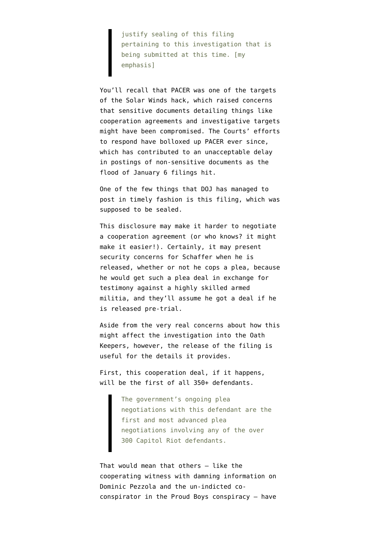justify sealing of this filing pertaining to this investigation that is being submitted at this time. [my emphasis]

You'll recall that PACER was [one of the targets](https://www.uscourts.gov/news/2021/01/06/judiciary-addresses-cybersecurity-breach-extra-safeguards-protect-sensitive-court) of the Solar Winds hack, which [raised concerns](https://www.wsj.com/articles/federal-judiciarys-systems-likely-breached-in-solarwinds-hack-11610040175) that sensitive documents detailing things like cooperation agreements and investigative targets might have been compromised. The Courts' efforts to respond have bolloxed up PACER ever since, which has contributed to an unacceptable delay in postings of non-sensitive documents as the flood of January 6 filings hit.

One of the few things that DOJ has managed to post in timely fashion is this filing, which was supposed to be sealed.

This disclosure may make it harder to negotiate a cooperation agreement (or who knows? it might make it easier!). Certainly, it may present security concerns for Schaffer when he is released, whether or not he cops a plea, because he would get such a plea deal in exchange for testimony against a highly skilled armed militia, and they'll assume he got a deal if he is released pre-trial.

Aside from the very real concerns about how this might affect the investigation into the Oath Keepers, however, the release of the filing is useful for the details it provides.

First, this cooperation deal, if it happens, will be the first of all 350+ defendants.

> The government's ongoing plea negotiations with this defendant are the first and most advanced plea negotiations involving any of the over 300 Capitol Riot defendants.

That would mean that others — like the cooperating witness with damning information on Dominic Pezzola and the un-indicted coconspirator in the Proud Boys conspiracy — have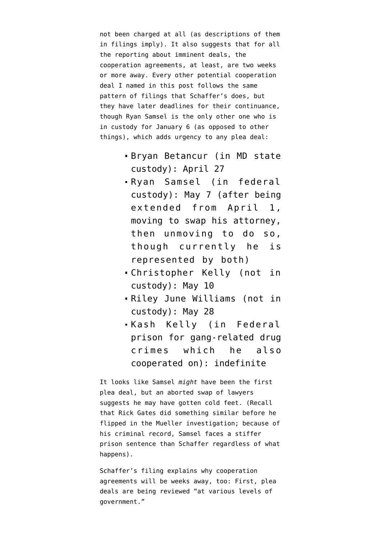not been charged at all (as descriptions of them in filings imply). It also suggests that for all the reporting about imminent deals, the cooperation agreements, at least, are two weeks or more away. Every other potential cooperation deal I [named in this post](https://www.emptywheel.net/2021/04/04/politico-claims-it-embarrasses-joe-biden-that-non-violent-civil-disobedience-merits-little-or-no-jail-time/) follows the same pattern of filings that Schaffer's does, but they have later deadlines for their continuance, though Ryan Samsel is the only other one who is in custody for January 6 (as opposed to other things), which adds urgency to any plea deal:

- Bryan Betancur (in MD state custody): April 27
- Ryan Samsel (in federal custody): May 7 (after being extended from April 1, [moving to swap his attorney](https://www.courtlistener.com/recap/gov.uscourts.dcd.226870/gov.uscourts.dcd.226870.12.0.pdf), then [unmoving to do so](https://www.courtlistener.com/recap/gov.uscourts.dcd.226870/gov.uscourts.dcd.226870.17.0.pdf), though currently he is represented by both)
- Christopher Kelly (not in custody): May 10
- Riley June Williams (not in custody): May 28
- Kash Kelly (in Federal prison for gang-related drug crimes which he also cooperated on): indefinite

It looks like Samsel *might* have been the first plea deal, but an aborted swap of lawyers suggests he may have gotten cold feet. (Recall that Rick Gates did something similar before he flipped in the Mueller investigation; because of his criminal record, Samsel faces a stiffer prison sentence than Schaffer regardless of what happens).

Schaffer's filing explains why cooperation agreements will be weeks away, too: First, plea deals are being reviewed "at various levels of government."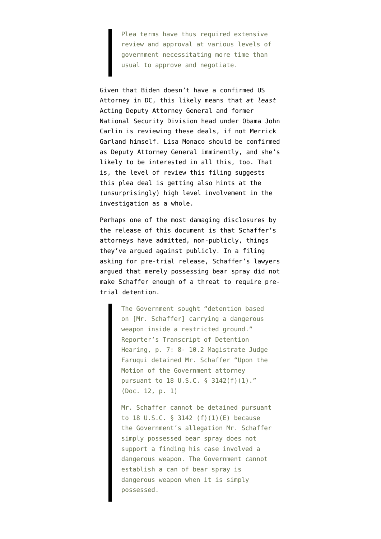Plea terms have thus required extensive review and approval at various levels of government necessitating more time than usual to approve and negotiate.

Given that Biden doesn't have a confirmed US Attorney in DC, this likely means that *at least* Acting Deputy Attorney General and former National Security Division head under Obama [John](https://www.justice.gov/dag/staff-profile/meet-acting-deputy-attorney-general) [Carlin](https://www.justice.gov/dag/staff-profile/meet-acting-deputy-attorney-general) is reviewing these deals, if not Merrick Garland himself. Lisa Monaco should be confirmed as Deputy Attorney General imminently, and she's likely to be interested in all this, too. That is, the level of review this filing suggests this plea deal is getting also hints at the (unsurprisingly) high level involvement in the investigation as a whole.

Perhaps one of the most damaging disclosures by the release of this document is that Schaffer's attorneys have admitted, non-publicly, things they've argued against publicly. In a [filing](https://www.courtlistener.com/recap/gov.uscourts.dcd.226186/gov.uscourts.dcd.226186.14.0.pdf) asking for pre-trial release, Schaffer's lawyers argued that merely possessing bear spray did not make Schaffer enough of a threat to require pretrial detention.

> The Government sought "detention based on [Mr. Schaffer] carrying a dangerous weapon inside a restricted ground." Reporter's Transcript of Detention Hearing, p. 7: 8- 10.2 Magistrate Judge Faruqui detained Mr. Schaffer "Upon the Motion of the Government attorney pursuant to 18 U.S.C. § 3142(f)(1)." (Doc. 12, p. 1)

Mr. Schaffer cannot be detained pursuant to 18 U.S.C. § 3142 (f)(1)(E) because the Government's allegation Mr. Schaffer simply possessed bear spray does not support a finding his case involved a dangerous weapon. The Government cannot establish a can of bear spray is dangerous weapon when it is simply possessed.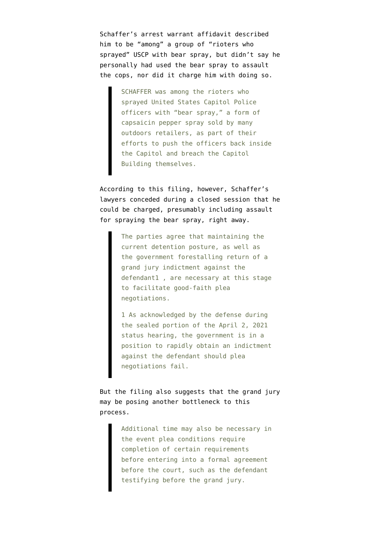Schaffer's [arrest warrant affidavit](https://www.courtlistener.com/recap/gov.uscourts.dcd.226186/gov.uscourts.dcd.226186.1.1_1.pdf) described him to be "among" a group of "rioters who sprayed" USCP with bear spray, but didn't say he personally had used the bear spray to assault the cops, nor did it charge him with doing so.

> SCHAFFER was among the rioters who sprayed United States Capitol Police officers with "bear spray," a form of capsaicin pepper spray sold by many outdoors retailers, as part of their efforts to push the officers back inside the Capitol and breach the Capitol Building themselves.

According to this filing, however, Schaffer's lawyers conceded during a closed session that he could be charged, presumably including assault for spraying the bear spray, right away.

> The parties agree that maintaining the current detention posture, as well as the government forestalling return of a grand jury indictment against the defendant1 , are necessary at this stage to facilitate good-faith plea negotiations.

> 1 As acknowledged by the defense during the sealed portion of the April 2, 2021 status hearing, the government is in a position to rapidly obtain an indictment against the defendant should plea negotiations fail.

But the filing also suggests that the grand jury may be posing another bottleneck to this process.

> Additional time may also be necessary in the event plea conditions require completion of certain requirements before entering into a formal agreement before the court, such as the defendant testifying before the grand jury.